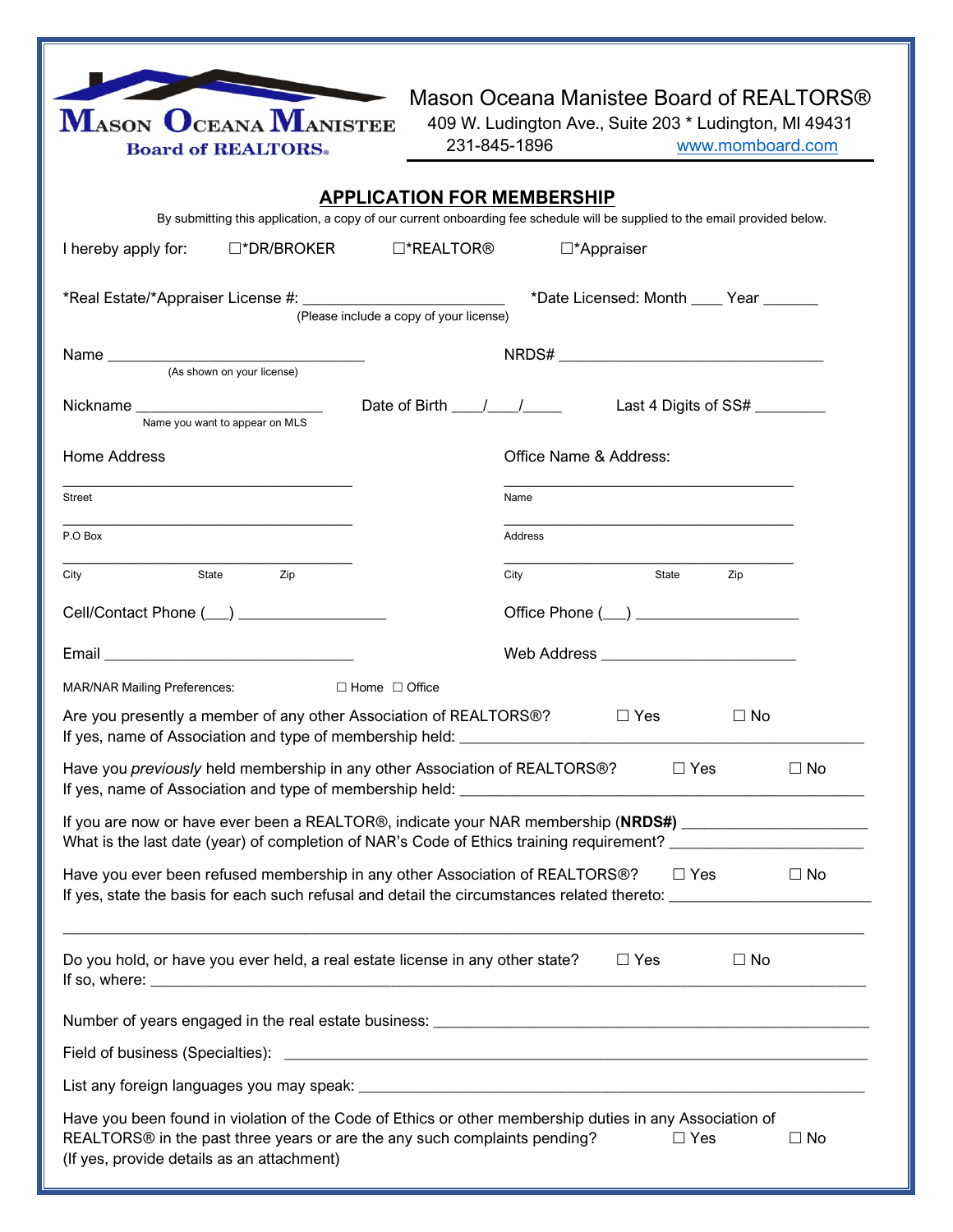| $\mathbf{M}_{\rm ASON}\,\, \mathbf{O}_{\rm CEANA}\, \mathbf{M}_{\rm ANISTEE}$<br><b>Board of REALTORS</b> .                                                                                                                    | Mason Oceana Manistee Board of REALTORS®<br>409 W. Ludington Ave., Suite 203 * Ludington, MI 49431<br>231-845-1896<br>www.momboard.com                                                                                       |  |  |  |  |  |  |
|--------------------------------------------------------------------------------------------------------------------------------------------------------------------------------------------------------------------------------|------------------------------------------------------------------------------------------------------------------------------------------------------------------------------------------------------------------------------|--|--|--|--|--|--|
| <b>APPLICATION FOR MEMBERSHIP</b>                                                                                                                                                                                              |                                                                                                                                                                                                                              |  |  |  |  |  |  |
| By submitting this application, a copy of our current onboarding fee schedule will be supplied to the email provided below.                                                                                                    |                                                                                                                                                                                                                              |  |  |  |  |  |  |
| I hereby apply for: □*DR/BROKER                                                                                                                                                                                                | $\square^*$ REALTOR®<br>□*Appraiser                                                                                                                                                                                          |  |  |  |  |  |  |
| *Date Licensed: Month ____ Year ______<br>(Please include a copy of your license)                                                                                                                                              |                                                                                                                                                                                                                              |  |  |  |  |  |  |
|                                                                                                                                                                                                                                |                                                                                                                                                                                                                              |  |  |  |  |  |  |
| Name you want to appear on MLS                                                                                                                                                                                                 | Last 4 Digits of SS# ________                                                                                                                                                                                                |  |  |  |  |  |  |
| Home Address                                                                                                                                                                                                                   | Office Name & Address:                                                                                                                                                                                                       |  |  |  |  |  |  |
| Street                                                                                                                                                                                                                         | Name                                                                                                                                                                                                                         |  |  |  |  |  |  |
| P.O Box                                                                                                                                                                                                                        | Address                                                                                                                                                                                                                      |  |  |  |  |  |  |
| State<br>City<br>Zip                                                                                                                                                                                                           | City<br>State<br>Zip                                                                                                                                                                                                         |  |  |  |  |  |  |
| Cell/Contact Phone (__) __________________                                                                                                                                                                                     | Office Phone (__) _____________________                                                                                                                                                                                      |  |  |  |  |  |  |
| Email experience and the state of the state of the state of the state of the state of the state of the state of the state of the state of the state of the state of the state of the state of the state of the state of the st |                                                                                                                                                                                                                              |  |  |  |  |  |  |
| <b>MAR/NAR Mailing Preferences:</b>                                                                                                                                                                                            | $\Box$ Home $\Box$ Office                                                                                                                                                                                                    |  |  |  |  |  |  |
| Are you presently a member of any other Association of REALTORS®?<br>$\Box$ Yes<br>$\Box$ No                                                                                                                                   |                                                                                                                                                                                                                              |  |  |  |  |  |  |
| Have you <i>previously</i> held membership in any other Association of REALTORS®?<br>$\Box$ Yes<br>$\Box$ No                                                                                                                   |                                                                                                                                                                                                                              |  |  |  |  |  |  |
|                                                                                                                                                                                                                                | If you are now or have ever been a REALTOR®, indicate your NAR membership (NRDS#) ________________________<br>What is the last date (year) of completion of NAR's Code of Ethics training requirement? _____________________ |  |  |  |  |  |  |
| Have you ever been refused membership in any other Association of REALTORS®?                                                                                                                                                   | □ Yes<br>$\Box$ No                                                                                                                                                                                                           |  |  |  |  |  |  |
| Do you hold, or have you ever held, a real estate license in any other state?                                                                                                                                                  | $\Box$ Yes<br>$\Box$ No                                                                                                                                                                                                      |  |  |  |  |  |  |
|                                                                                                                                                                                                                                |                                                                                                                                                                                                                              |  |  |  |  |  |  |
|                                                                                                                                                                                                                                |                                                                                                                                                                                                                              |  |  |  |  |  |  |
|                                                                                                                                                                                                                                |                                                                                                                                                                                                                              |  |  |  |  |  |  |
| REALTORS® in the past three years or are the any such complaints pending?<br>(If yes, provide details as an attachment)                                                                                                        | Have you been found in violation of the Code of Ethics or other membership duties in any Association of<br>$\Box$ Yes<br>$\Box$ No                                                                                           |  |  |  |  |  |  |